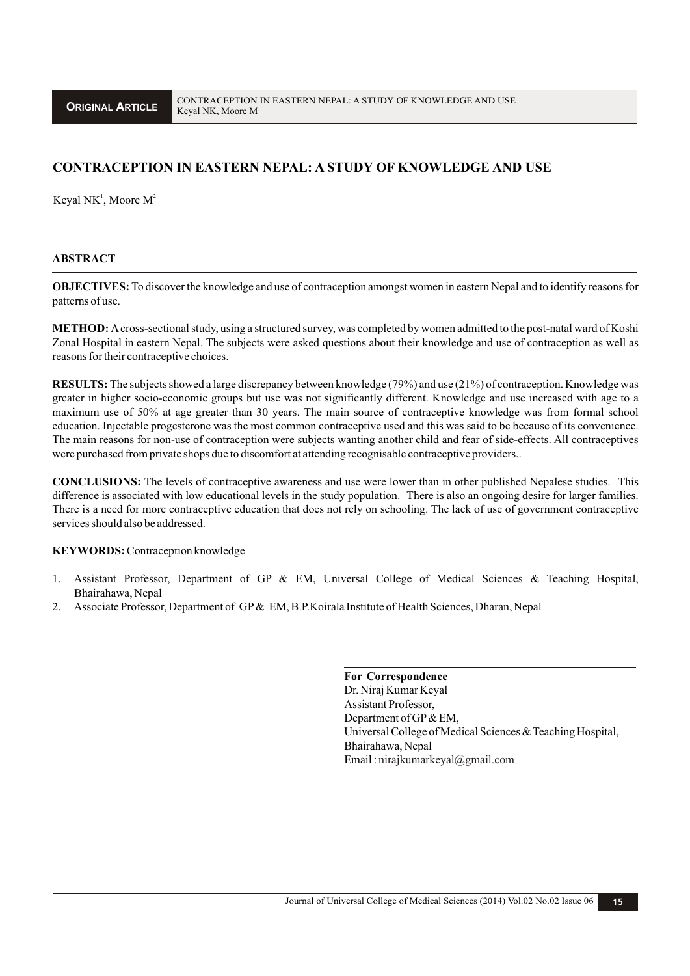# **CONTRACEPTION IN EASTERN NEPAL: A STUDY OF KNOWLEDGE AND USE**

Keyal NK<sup>1</sup>, Moore  $M^2$ 

## **ABSTRACT**

**OBJECTIVES:** To discover the knowledge and use of contraception amongst women in eastern Nepal and to identify reasons for patterns of use.

**METHOD:** Across-sectional study, using a structured survey, was completed by women admitted to the post-natal ward of Koshi Zonal Hospital in eastern Nepal. The subjects were asked questions about their knowledge and use of contraception as well as reasons for their contraceptive choices.

**RESULTS:** The subjects showed a large discrepancy between knowledge (79%) and use (21%) of contraception. Knowledge was greater in higher socio-economic groups but use was not significantly different. Knowledge and use increased with age to a maximum use of 50% at age greater than 30 years. The main source of contraceptive knowledge was from formal school education. Injectable progesterone was the most common contraceptive used and this was said to be because of its convenience. The main reasons for non-use of contraception were subjects wanting another child and fear of side-effects. All contraceptives were purchased from private shops due to discomfort at attending recognisable contraceptive providers..

**CONCLUSIONS:** The levels of contraceptive awareness and use were lower than in other published Nepalese studies. This difference is associated with low educational levels in the study population. There is also an ongoing desire for larger families. There is a need for more contraceptive education that does not rely on schooling. The lack of use of government contraceptive services should also be addressed.

#### **KEYWORDS:**Contraception knowledge

- 1. Assistant Professor, Department of GP & EM, Universal College of Medical Sciences & Teaching Hospital, Bhairahawa, Nepal
- 2. Associate Professor, Department of GP& EM, B.P.Koirala Institute of Health Sciences, Dharan, Nepal

**For Correspondence** Dr. Niraj Kumar Keyal Assistant Professor, Department of GP& EM, Universal College of Medical Sciences & Teaching Hospital, Bhairahawa, Nepal Email: nirajkumarkeyal@gmail.com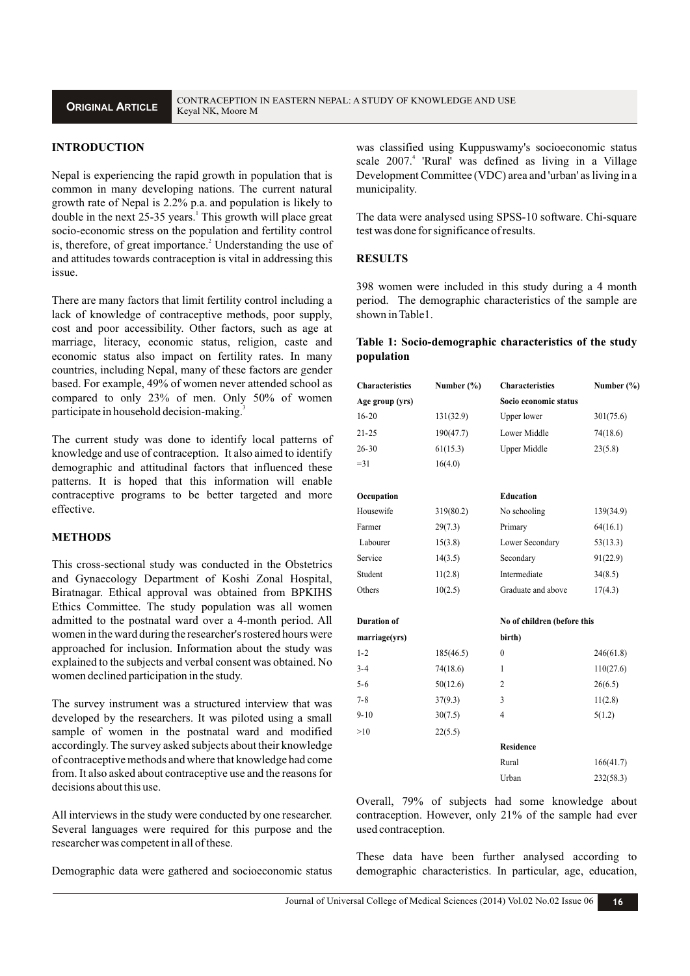# **INTRODUCTION**

Nepal is experiencing the rapid growth in population that is common in many developing nations. The current natural growth rate of Nepal is 2.2% p.a. and population is likely to double in the next 25-35 years.<sup>1</sup> This growth will place great socio-economic stress on the population and fertility control is, therefore, of great importance.<sup>2</sup> Understanding the use of and attitudes towards contraception is vital in addressing this issue.

There are many factors that limit fertility control including a lack of knowledge of contraceptive methods, poor supply, cost and poor accessibility. Other factors, such as age at marriage, literacy, economic status, religion, caste and economic status also impact on fertility rates. In many countries, including Nepal, many of these factors are gender based. For example, 49% of women never attended school as compared to only 23% of men. Only 50% of women participate in household decision-making.<sup>3</sup>

The current study was done to identify local patterns of knowledge and use of contraception. It also aimed to identify demographic and attitudinal factors that influenced these patterns. It is hoped that this information will enable contraceptive programs to be better targeted and more effective.

#### **METHODS**

This cross-sectional study was conducted in the Obstetrics and Gynaecology Department of Koshi Zonal Hospital, Biratnagar. Ethical approval was obtained from BPKIHS Ethics Committee. The study population was all women admitted to the postnatal ward over a 4-month period. All women in the ward during the researcher's rostered hours were approached for inclusion. Information about the study was explained to the subjects and verbal consent was obtained. No women declined participation in the study.

The survey instrument was a structured interview that was developed by the researchers. It was piloted using a small sample of women in the postnatal ward and modified accordingly. The survey asked subjects about their knowledge of contraceptive methods and where that knowledge had come from. It also asked about contraceptive use and the reasons for decisions about this use.

All interviews in the study were conducted by one researcher. Several languages were required for this purpose and the researcher was competent in all of these.

Demographic data were gathered and socioeconomic status

was classified using Kuppuswamy's socioeconomic status scale 2007.<sup>4</sup> 'Rural' was defined as living in a Village Development Committee (VDC) area and 'urban' as living in a municipality.

The data were analysed using SPSS-10 software. Chi-square test was done for significance of results.

### **RESULTS**

398 women were included in this study during a 4 month period. The demographic characteristics of the sample are shown in Table1.

### **Table 1: Socio-demographic characteristics of the study population**

| <b>Characteristics</b> | Number $(\% )$ | <b>Characteristics</b>      | Number $(\% )$ |
|------------------------|----------------|-----------------------------|----------------|
| Age group (yrs)        |                | Socio economic status       |                |
| $16 - 20$              | 131(32.9)      | Upper lower                 | 301(75.6)      |
| $21 - 25$              | 190(47.7)      | Lower Middle                | 74(18.6)       |
| $26 - 30$              | 61(15.3)       | <b>Upper Middle</b>         | 23(5.8)        |
| $= 31$                 | 16(4.0)        |                             |                |
| Occupation             |                | Education                   |                |
| Housewife              | 319(80.2)      | No schooling                | 139(34.9)      |
| Farmer                 | 29(7.3)        | Primary                     | 64(16.1)       |
| Labourer               | 15(3.8)        | Lower Secondary             | 53(13.3)       |
| Service                | 14(3.5)        | Secondary                   | 91(22.9)       |
| Student                | 11(2.8)        | Intermediate                | 34(8.5)        |
| Others                 | 10(2.5)        | Graduate and above          | 17(4.3)        |
| <b>Duration of</b>     |                | No of children (before this |                |
| marriage(yrs)          |                | birth)                      |                |
| $1 - 2$                | 185(46.5)      | $\mathbf{0}$                | 246(61.8)      |
| $3 - 4$                | 74(18.6)       | 1                           | 110(27.6)      |
| $5 - 6$                | 50(12.6)       | 2                           | 26(6.5)        |
| $7 - 8$                | 37(9.3)        | 3                           | 11(2.8)        |
| $9 - 10$               | 30(7.5)        | $\overline{4}$              | 5(1.2)         |
| >10                    | 22(5.5)        |                             |                |
|                        |                | <b>Residence</b>            |                |
|                        |                | Rural                       | 166(41.7)      |
|                        |                | Urban                       | 232(58.3)      |

Overall, 79% of subjects had some knowledge about contraception. However, only 21% of the sample had ever used contraception.

These data have been further analysed according to demographic characteristics. In particular, age, education,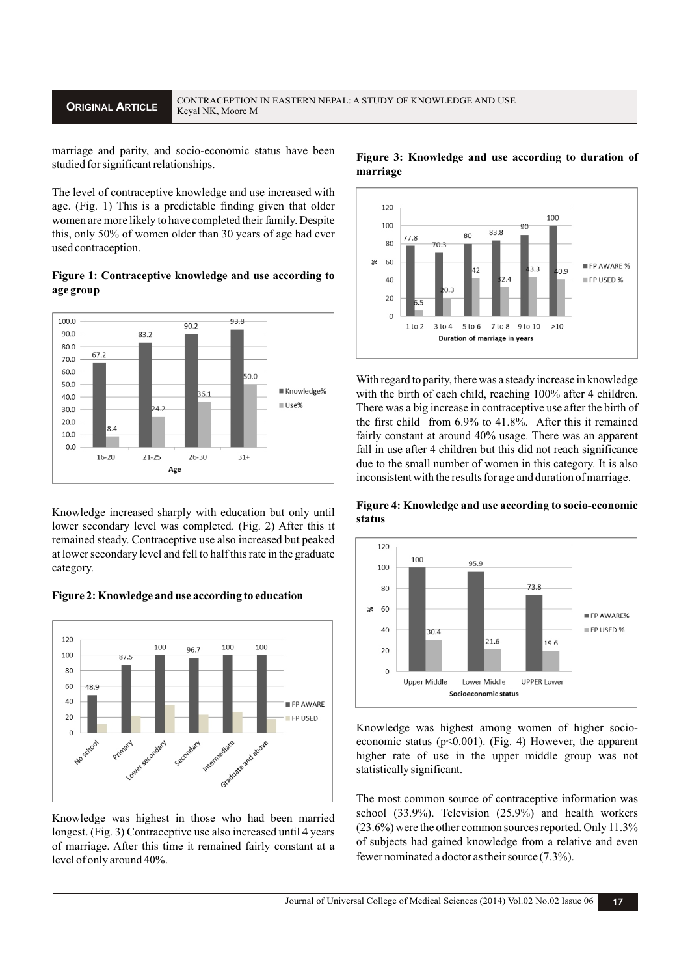marriage and parity, and socio-economic status have been studied for significant relationships.

The level of contraceptive knowledge and use increased with age. (Fig. 1) This is a predictable finding given that older women are more likely to have completed their family. Despite this, only 50% of women older than 30 years of age had ever used contraception.

#### **Figure 1: Contraceptive knowledge and use according to age group**



Knowledge increased sharply with education but only until lower secondary level was completed. (Fig. 2) After this it remained steady. Contraceptive use also increased but peaked at lower secondary level and fell to half this rate in the graduate category.

#### **Figure 2: Knowledge and use according to education**



Knowledge was highest in those who had been married longest. (Fig. 3) Contraceptive use also increased until 4 years of marriage. After this time it remained fairly constant at a level of only around 40%.



**Figure 3: Knowledge and use according to duration of marriage**

With regard to parity, there was a steady increase in knowledge with the birth of each child, reaching 100% after 4 children. There was a big increase in contraceptive use after the birth of the first child from 6.9% to 41.8%. After this it remained fairly constant at around 40% usage. There was an apparent fall in use after 4 children but this did not reach significance due to the small number of women in this category. It is also inconsistent with the results for age and duration of marriage.

**Figure 4: Knowledge and use according to socio-economic status**



Knowledge was highest among women of higher socioeconomic status ( $p<0.001$ ). (Fig. 4) However, the apparent higher rate of use in the upper middle group was not statistically significant.

The most common source of contraceptive information was school (33.9%). Television (25.9%) and health workers (23.6%) were the other common sources reported. Only 11.3% of subjects had gained knowledge from a relative and even fewer nominated a doctor as their source (7.3%).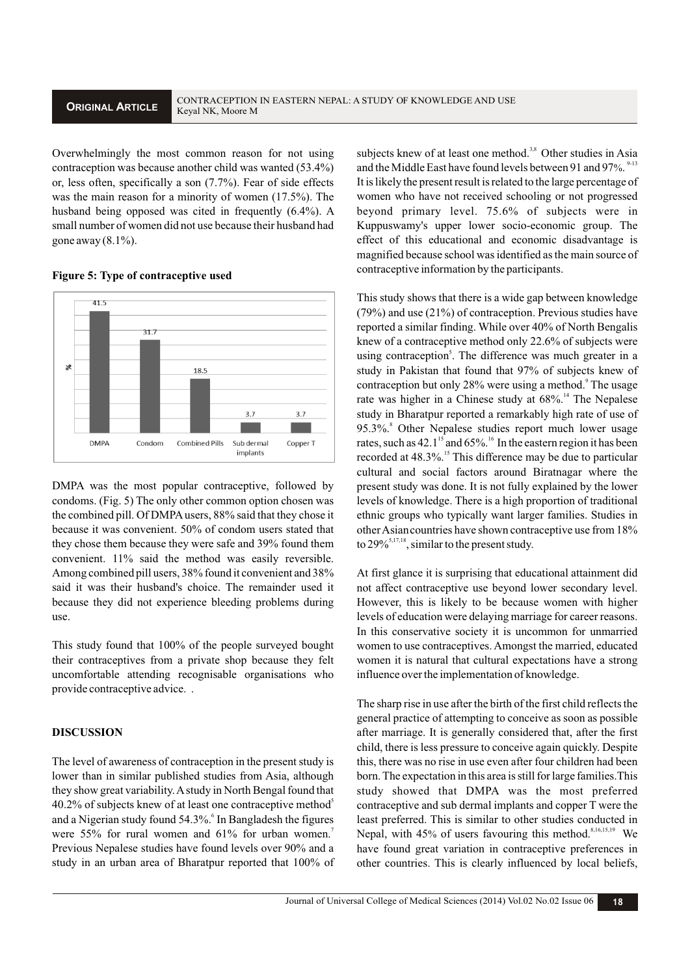Overwhelmingly the most common reason for not using contraception was because another child was wanted (53.4%) or, less often, specifically a son (7.7%). Fear of side effects was the main reason for a minority of women (17.5%). The husband being opposed was cited in frequently (6.4%). A small number of women did not use because their husband had gone away  $(8.1\%)$ .

#### **Figure 5: Type of contraceptive used**



DMPA was the most popular contraceptive, followed by condoms. (Fig. 5) The only other common option chosen was the combined pill. Of DMPAusers, 88% said that they chose it because it was convenient. 50% of condom users stated that they chose them because they were safe and 39% found them convenient. 11% said the method was easily reversible. Among combined pill users, 38% found it convenient and 38% said it was their husband's choice. The remainder used it because they did not experience bleeding problems during use.

This study found that 100% of the people surveyed bought their contraceptives from a private shop because they felt uncomfortable attending recognisable organisations who provide contraceptive advice. .

# **DISCUSSION**

The level of awareness of contraception in the present study is lower than in similar published studies from Asia, although they show great variability. Astudy in North Bengal found that 40.2% of subjects knew of at least one contraceptive method<sup>5</sup> and a Nigerian study found 54.3%.<sup>6</sup> In Bangladesh the figures were  $55\%$  for rural women and  $61\%$  for urban women. Previous Nepalese studies have found levels over 90% and a study in an urban area of Bharatpur reported that 100% of subjects knew of at least one method.<sup>3,8</sup> Other studies in Asia and the Middle East have found levels between 91 and 97%.<sup>9-13</sup> It is likely the present result is related to the large percentage of women who have not received schooling or not progressed beyond primary level. 75.6% of subjects were in Kuppuswamy's upper lower socio-economic group. The effect of this educational and economic disadvantage is magnified because school was identified as the main source of contraceptive information by the participants.

This study shows that there is a wide gap between knowledge (79%) and use (21%) of contraception. Previous studies have reported a similar finding. While over 40% of North Bengalis knew of a contraceptive method only 22.6% of subjects were using contraception<sup>5</sup>. The difference was much greater in a study in Pakistan that found that 97% of subjects knew of contraception but only 28% were using a method. The usage rate was higher in a Chinese study at 68%.<sup>14</sup> The Nepalese study in Bharatpur reported a remarkably high rate of use of 8 95.3%. Other Nepalese studies report much lower usage rates, such as  $42.1<sup>15</sup>$  and  $65\%$ . <sup>16</sup> In the eastern region it has been recorded at 48.3%.<sup>15</sup> This difference may be due to particular cultural and social factors around Biratnagar where the present study was done. It is not fully explained by the lower levels of knowledge. There is a high proportion of traditional ethnic groups who typically want larger families. Studies in other Asiancountries have shown contraceptive use from 18% to  $29\%$ <sup>5,17,18</sup>, similar to the present study.

At first glance it is surprising that educational attainment did not affect contraceptive use beyond lower secondary level. However, this is likely to be because women with higher levels of education were delaying marriage for career reasons. In this conservative society it is uncommon for unmarried women to use contraceptives. Amongst the married, educated women it is natural that cultural expectations have a strong influence over the implementation of knowledge.

The sharp rise in use after the birth of the first child reflects the general practice of attempting to conceive as soon as possible after marriage. It is generally considered that, after the first child, there is less pressure to conceive again quickly. Despite this, there was no rise in use even after four children had been born. The expectation in this area is still for large families.This study showed that DMPA was the most preferred contraceptive and sub dermal implants and copper T were the least preferred. This is similar to other studies conducted in Nepal, with 45% of users favouring this method.<sup>8,16,15,19</sup> We have found great variation in contraceptive preferences in other countries. This is clearly influenced by local beliefs,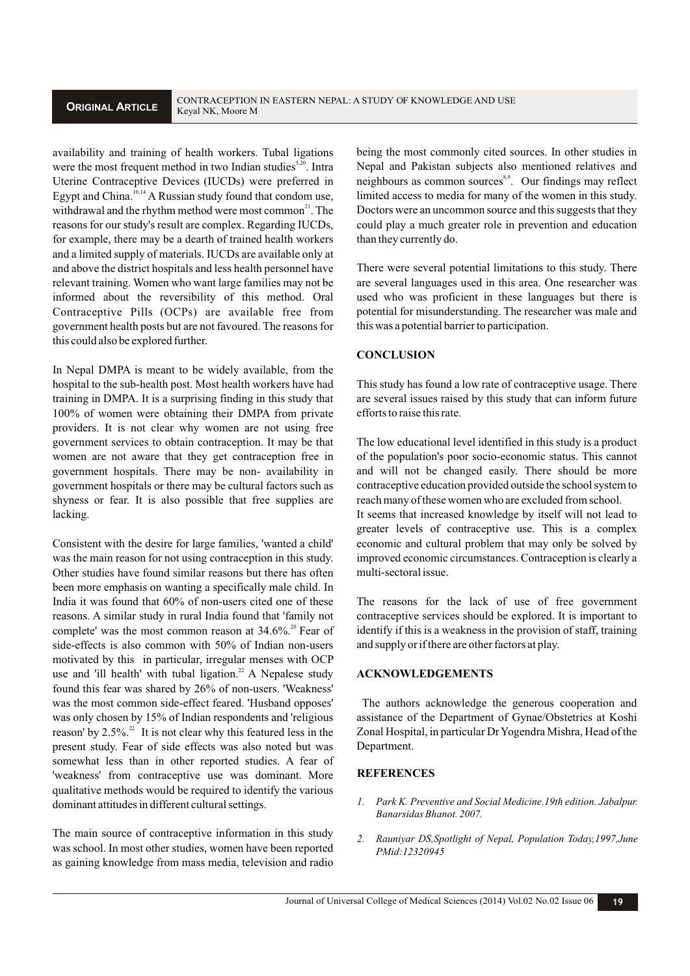availability and training of health workers. Tubal ligations were the most frequent method in two Indian studies<sup>5,20</sup>. Intra Uterine Contraceptive Devices (IUCDs) were preferred in Egypt and China.  $\frac{1}{10,14}$  A Russian study found that condom use, withdrawal and the rhythm method were most common<sup>21</sup>. The reasons for our study's result are complex. Regarding IUCDs, for example, there may be a dearth of trained health workers and a limited supply of materials. IUCDs are available only at and above the district hospitals and less health personnel have relevant training. Women who want large families may not be informed about the reversibility of this method. Oral Contraceptive Pills (OCPs) are available free from government health posts but are not favoured. The reasons for this could also be explored further.

In Nepal DMPA is meant to be widely available, from the hospital to the sub-health post. Most health workers have had training in DMPA. It is a surprising finding in this study that 100% of women were obtaining their DMPA from private providers. It is not clear why women are not using free government services to obtain contraception. It may be that women are not aware that they get contraception free in government hospitals. There may be non- availability in government hospitals or there may be cultural factors such as shyness or fear. It is also possible that free supplies are lacking.

Consistent with the desire for large families, 'wanted a child' was the main reason for not using contraception in this study. Other studies have found similar reasons but there has often been more emphasis on wanting a specifically male child. In India it was found that 60% of non-users cited one of these reasons. A similar study in rural India found that 'family not complete' was the most common reason at  $34.6\%$ <sup>20</sup> Fear of side-effects is also common with 50% of Indian non-users motivated by this in particular, irregular menses with OCP use and 'ill health' with tubal ligation.<sup>22</sup> A Nepalese study found this fear was shared by 26% of non-users. 'Weakness' was the most common side-effect feared. 'Husband opposes' was only chosen by 15% of Indian respondents and 'religious reason' by  $2.5\%$ <sup>22</sup>. It is not clear why this featured less in the present study. Fear of side effects was also noted but was somewhat less than in other reported studies. A fear of 'weakness' from contraceptive use was dominant. More qualitative methods would be required to identify the various dominant attitudes in different cultural settings.

The main source of contraceptive information in this study was school. In most other studies, women have been reported as gaining knowledge from mass media, television and radio

being the most commonly cited sources. In other studies in Nepal and Pakistan subjects also mentioned relatives and neighbours as common sources<sup>8,9</sup>. Our findings may reflect limited access to media for many of the women in this study. Doctors were an uncommon source and this suggests that they could play a much greater role in prevention and education than they currently do.

There were several potential limitations to this study. There are several languages used in this area. One researcher was used who was proficient in these languages but there is potential for misunderstanding. The researcher was male and this was a potential barrier to participation.

# **CONCLUSION**

This study has found a low rate of contraceptive usage. There are several issues raised by this study that can inform future efforts to raise this rate.

The low educational level identified in this study is a product of the population's poor socio-economic status. This cannot and will not be changed easily. There should be more contraceptive education provided outside the school system to reach many of these women who are excluded from school. It seems that increased knowledge by itself will not lead to

greater levels of contraceptive use. This is a complex economic and cultural problem that may only be solved by improved economic circumstances. Contraception is clearly a multi-sectoral issue.

The reasons for the lack of use of free government contraceptive services should be explored. It is important to identify if this is a weakness in the provision of staff, training and supply or if there are other factors at play.

# **ACKNOWLEDGEMENTS**

The authors acknowledge the generous cooperation and assistance of the Department of Gynae/Obstetrics at Koshi Zonal Hospital, in particular Dr Yogendra Mishra, Head of the Department.

### **REFERENCES**

- *1. Park K. Preventive and Social Medicine.19th edition. Jabalpur. Banarsidas Bhanot. 2007.*
- *2. Rauniyar DS,Spotlight of Nepal, Population Today,1997,June PMid:12320945*